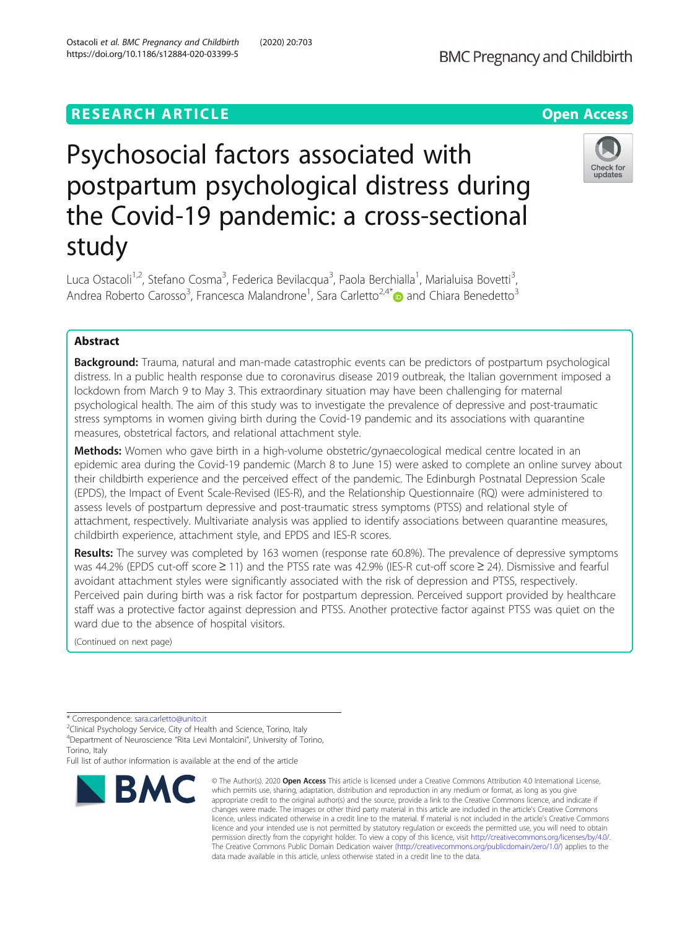# Psychosocial factors associated with postpartum psychological distress during the Covid-19 pandemic: a cross-sectional study

Luca Ostacoli<sup>1,2</sup>, Stefano Cosma<sup>3</sup>, Federica Bevilacqua<sup>3</sup>, Paola Berchialla<sup>1</sup>, Marialuisa Bovetti<sup>3</sup> , Andrea Roberto Carosso<sup>3</sup>, Francesca Malandrone<sup>1</sup>, Sara Carletto<sup>2,4[\\*](https://orcid.org/0000-0002-4951-7479)</sup> and Chiara Benedetto<sup>3</sup>

# Abstract

**Background:** Trauma, natural and man-made catastrophic events can be predictors of postpartum psychological distress. In a public health response due to coronavirus disease 2019 outbreak, the Italian government imposed a lockdown from March 9 to May 3. This extraordinary situation may have been challenging for maternal psychological health. The aim of this study was to investigate the prevalence of depressive and post-traumatic stress symptoms in women giving birth during the Covid-19 pandemic and its associations with quarantine measures, obstetrical factors, and relational attachment style.

Methods: Women who gave birth in a high-volume obstetric/gynaecological medical centre located in an epidemic area during the Covid-19 pandemic (March 8 to June 15) were asked to complete an online survey about their childbirth experience and the perceived effect of the pandemic. The Edinburgh Postnatal Depression Scale (EPDS), the Impact of Event Scale-Revised (IES-R), and the Relationship Questionnaire (RQ) were administered to assess levels of postpartum depressive and post-traumatic stress symptoms (PTSS) and relational style of attachment, respectively. Multivariate analysis was applied to identify associations between quarantine measures, childbirth experience, attachment style, and EPDS and IES-R scores.

Results: The survey was completed by 163 women (response rate 60.8%). The prevalence of depressive symptoms was 44.2% (EPDS cut-off score ≥ 11) and the PTSS rate was 42.9% (IES-R cut-off score ≥ 24). Dismissive and fearful avoidant attachment styles were significantly associated with the risk of depression and PTSS, respectively. Perceived pain during birth was a risk factor for postpartum depression. Perceived support provided by healthcare staff was a protective factor against depression and PTSS. Another protective factor against PTSS was quiet on the ward due to the absence of hospital visitors.

(Continued on next page)

**BMC** 

Full list of author information is available at the end of the article

#### © The Author(s), 2020 **Open Access** This article is licensed under a Creative Commons Attribution 4.0 International License, which permits use, sharing, adaptation, distribution and reproduction in any medium or format, as long as you give appropriate credit to the original author(s) and the source, provide a link to the Creative Commons licence, and indicate if changes were made. The images or other third party material in this article are included in the article's Creative Commons licence, unless indicated otherwise in a credit line to the material. If material is not included in the article's Creative Commons licence and your intended use is not permitted by statutory regulation or exceeds the permitted use, you will need to obtain permission directly from the copyright holder. To view a copy of this licence, visit [http://creativecommons.org/licenses/by/4.0/.](http://creativecommons.org/licenses/by/4.0/) The Creative Commons Public Domain Dedication waiver [\(http://creativecommons.org/publicdomain/zero/1.0/](http://creativecommons.org/publicdomain/zero/1.0/)) applies to the data made available in this article, unless otherwise stated in a credit line to the data.





Check for

<sup>\*</sup> Correspondence: [sara.carletto@unito.it](mailto:sara.carletto@unito.it)<br><sup>2</sup>Clinical Psychology Service, City of Health and Science, Torino, Italy 4 Department of Neuroscience "Rita Levi Montalcini", University of Torino, Torino, Italy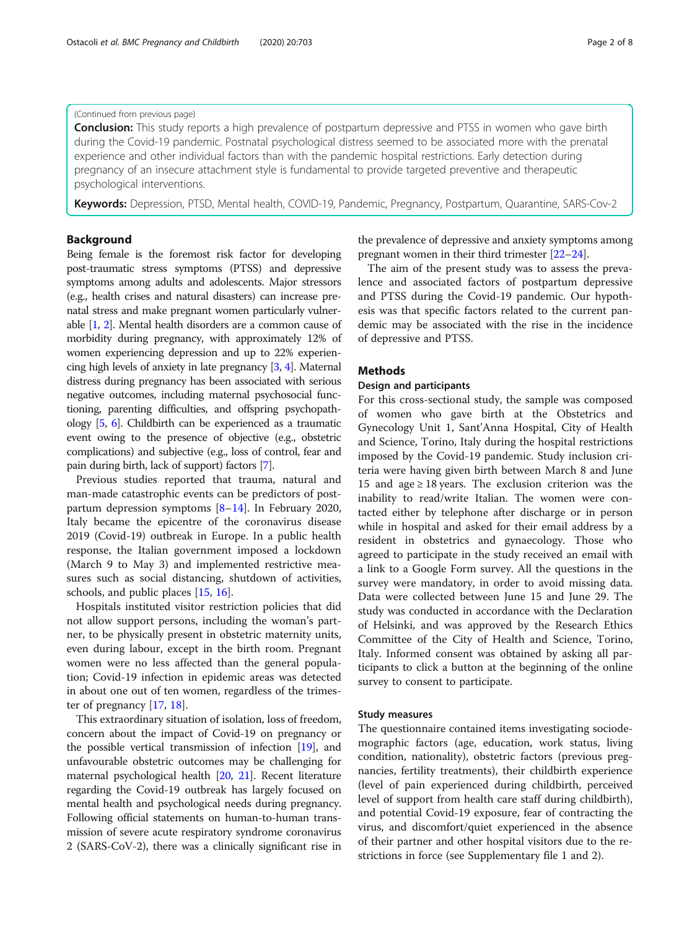# (Continued from previous page)

**Conclusion:** This study reports a high prevalence of postpartum depressive and PTSS in women who gave birth during the Covid-19 pandemic. Postnatal psychological distress seemed to be associated more with the prenatal experience and other individual factors than with the pandemic hospital restrictions. Early detection during pregnancy of an insecure attachment style is fundamental to provide targeted preventive and therapeutic psychological interventions.

Keywords: Depression, PTSD, Mental health, COVID-19, Pandemic, Pregnancy, Postpartum, Quarantine, SARS-Cov-2

# Background

Being female is the foremost risk factor for developing post-traumatic stress symptoms (PTSS) and depressive symptoms among adults and adolescents. Major stressors (e.g., health crises and natural disasters) can increase prenatal stress and make pregnant women particularly vulnerable [\[1](#page-6-0), [2\]](#page-6-0). Mental health disorders are a common cause of morbidity during pregnancy, with approximately 12% of women experiencing depression and up to 22% experiencing high levels of anxiety in late pregnancy [\[3,](#page-6-0) [4](#page-6-0)]. Maternal distress during pregnancy has been associated with serious negative outcomes, including maternal psychosocial functioning, parenting difficulties, and offspring psychopathology [\[5](#page-6-0), [6\]](#page-6-0). Childbirth can be experienced as a traumatic event owing to the presence of objective (e.g., obstetric complications) and subjective (e.g., loss of control, fear and pain during birth, lack of support) factors [\[7\]](#page-6-0).

Previous studies reported that trauma, natural and man-made catastrophic events can be predictors of postpartum depression symptoms [[8](#page-6-0)–[14](#page-6-0)]. In February 2020, Italy became the epicentre of the coronavirus disease 2019 (Covid-19) outbreak in Europe. In a public health response, the Italian government imposed a lockdown (March 9 to May 3) and implemented restrictive measures such as social distancing, shutdown of activities, schools, and public places [[15,](#page-6-0) [16](#page-6-0)].

Hospitals instituted visitor restriction policies that did not allow support persons, including the woman's partner, to be physically present in obstetric maternity units, even during labour, except in the birth room. Pregnant women were no less affected than the general population; Covid-19 infection in epidemic areas was detected in about one out of ten women, regardless of the trimester of pregnancy [[17,](#page-6-0) [18\]](#page-6-0).

This extraordinary situation of isolation, loss of freedom, concern about the impact of Covid-19 on pregnancy or the possible vertical transmission of infection [\[19\]](#page-6-0), and unfavourable obstetric outcomes may be challenging for maternal psychological health [[20](#page-7-0), [21\]](#page-7-0). Recent literature regarding the Covid-19 outbreak has largely focused on mental health and psychological needs during pregnancy. Following official statements on human-to-human transmission of severe acute respiratory syndrome coronavirus 2 (SARS-CoV-2), there was a clinically significant rise in the prevalence of depressive and anxiety symptoms among pregnant women in their third trimester [\[22](#page-7-0)–[24](#page-7-0)].

The aim of the present study was to assess the prevalence and associated factors of postpartum depressive and PTSS during the Covid-19 pandemic. Our hypothesis was that specific factors related to the current pandemic may be associated with the rise in the incidence of depressive and PTSS.

# Methods

# Design and participants

For this cross-sectional study, the sample was composed of women who gave birth at the Obstetrics and Gynecology Unit 1, Sant'Anna Hospital, City of Health and Science, Torino, Italy during the hospital restrictions imposed by the Covid-19 pandemic. Study inclusion criteria were having given birth between March 8 and June 15 and age ≥ 18 years. The exclusion criterion was the inability to read/write Italian. The women were contacted either by telephone after discharge or in person while in hospital and asked for their email address by a resident in obstetrics and gynaecology. Those who agreed to participate in the study received an email with a link to a Google Form survey. All the questions in the survey were mandatory, in order to avoid missing data. Data were collected between June 15 and June 29. The study was conducted in accordance with the Declaration of Helsinki, and was approved by the Research Ethics Committee of the City of Health and Science, Torino, Italy. Informed consent was obtained by asking all participants to click a button at the beginning of the online survey to consent to participate.

#### Study measures

The questionnaire contained items investigating sociodemographic factors (age, education, work status, living condition, nationality), obstetric factors (previous pregnancies, fertility treatments), their childbirth experience (level of pain experienced during childbirth, perceived level of support from health care staff during childbirth), and potential Covid-19 exposure, fear of contracting the virus, and discomfort/quiet experienced in the absence of their partner and other hospital visitors due to the restrictions in force (see Supplementary file 1 and 2).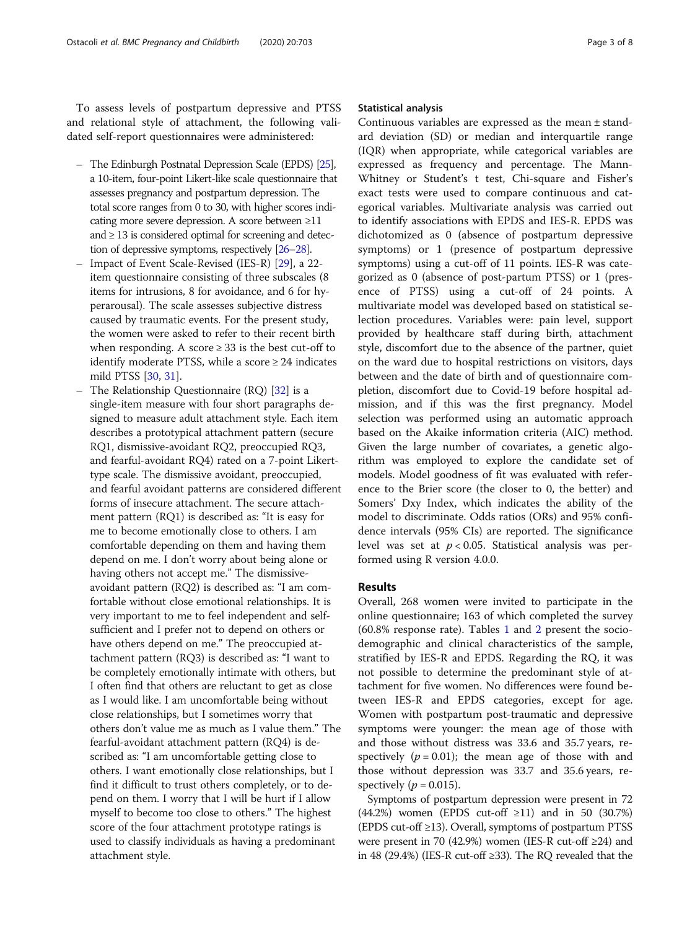To assess levels of postpartum depressive and PTSS and relational style of attachment, the following validated self-report questionnaires were administered:

- The Edinburgh Postnatal Depression Scale (EPDS) [\[25](#page-7-0)], a 10-item, four-point Likert-like scale questionnaire that assesses pregnancy and postpartum depression. The total score ranges from 0 to 30, with higher scores indicating more severe depression. A score between ≥11 and ≥ 13 is considered optimal for screening and detection of depressive symptoms, respectively [\[26](#page-7-0)–[28\]](#page-7-0).
- Impact of Event Scale-Revised (IES-R) [[29](#page-7-0)], a 22item questionnaire consisting of three subscales (8 items for intrusions, 8 for avoidance, and 6 for hyperarousal). The scale assesses subjective distress caused by traumatic events. For the present study, the women were asked to refer to their recent birth when responding. A score  $\geq$  33 is the best cut-off to identify moderate PTSS, while a score  $\geq 24$  indicates mild PTSS [\[30,](#page-7-0) [31\]](#page-7-0).
- The Relationship Questionnaire (RQ) [[32](#page-7-0)] is a single-item measure with four short paragraphs designed to measure adult attachment style. Each item describes a prototypical attachment pattern (secure RQ1, dismissive-avoidant RQ2, preoccupied RQ3, and fearful-avoidant RQ4) rated on a 7-point Likerttype scale. The dismissive avoidant, preoccupied, and fearful avoidant patterns are considered different forms of insecure attachment. The secure attachment pattern (RQ1) is described as: "It is easy for me to become emotionally close to others. I am comfortable depending on them and having them depend on me. I don't worry about being alone or having others not accept me." The dismissiveavoidant pattern (RQ2) is described as: "I am comfortable without close emotional relationships. It is very important to me to feel independent and selfsufficient and I prefer not to depend on others or have others depend on me." The preoccupied attachment pattern (RQ3) is described as: "I want to be completely emotionally intimate with others, but I often find that others are reluctant to get as close as I would like. I am uncomfortable being without close relationships, but I sometimes worry that others don't value me as much as I value them." The fearful-avoidant attachment pattern (RQ4) is described as: "I am uncomfortable getting close to others. I want emotionally close relationships, but I find it difficult to trust others completely, or to depend on them. I worry that I will be hurt if I allow myself to become too close to others." The highest score of the four attachment prototype ratings is used to classify individuals as having a predominant attachment style.

### Statistical analysis

Continuous variables are expressed as the mean ± standard deviation (SD) or median and interquartile range (IQR) when appropriate, while categorical variables are expressed as frequency and percentage. The Mann-Whitney or Student's t test, Chi-square and Fisher's exact tests were used to compare continuous and categorical variables. Multivariate analysis was carried out to identify associations with EPDS and IES-R. EPDS was dichotomized as 0 (absence of postpartum depressive symptoms) or 1 (presence of postpartum depressive symptoms) using a cut-off of 11 points. IES-R was categorized as 0 (absence of post-partum PTSS) or 1 (presence of PTSS) using a cut-off of 24 points. A multivariate model was developed based on statistical selection procedures. Variables were: pain level, support provided by healthcare staff during birth, attachment style, discomfort due to the absence of the partner, quiet on the ward due to hospital restrictions on visitors, days between and the date of birth and of questionnaire completion, discomfort due to Covid-19 before hospital admission, and if this was the first pregnancy. Model selection was performed using an automatic approach based on the Akaike information criteria (AIC) method. Given the large number of covariates, a genetic algorithm was employed to explore the candidate set of models. Model goodness of fit was evaluated with reference to the Brier score (the closer to 0, the better) and Somers' Dxy Index, which indicates the ability of the model to discriminate. Odds ratios (ORs) and 95% confidence intervals (95% CIs) are reported. The significance level was set at  $p < 0.05$ . Statistical analysis was performed using R version 4.0.0.

#### Results

Overall, 268 women were invited to participate in the online questionnaire; 163 of which completed the survey (60.8% response rate). Tables [1](#page-3-0) and [2](#page-4-0) present the sociodemographic and clinical characteristics of the sample, stratified by IES-R and EPDS. Regarding the RQ, it was not possible to determine the predominant style of attachment for five women. No differences were found between IES-R and EPDS categories, except for age. Women with postpartum post-traumatic and depressive symptoms were younger: the mean age of those with and those without distress was 33.6 and 35.7 years, respectively ( $p = 0.01$ ); the mean age of those with and those without depression was 33.7 and 35.6 years, respectively ( $p = 0.015$ ).

Symptoms of postpartum depression were present in 72  $(44.2%)$  women (EPDS cut-off  $\geq 11)$  and in 50 (30.7%) (EPDS cut-off ≥13). Overall, symptoms of postpartum PTSS were present in 70 (42.9%) women (IES-R cut-off  $\geq$ 24) and in 48 (29.4%) (IES-R cut-off ≥33). The RQ revealed that the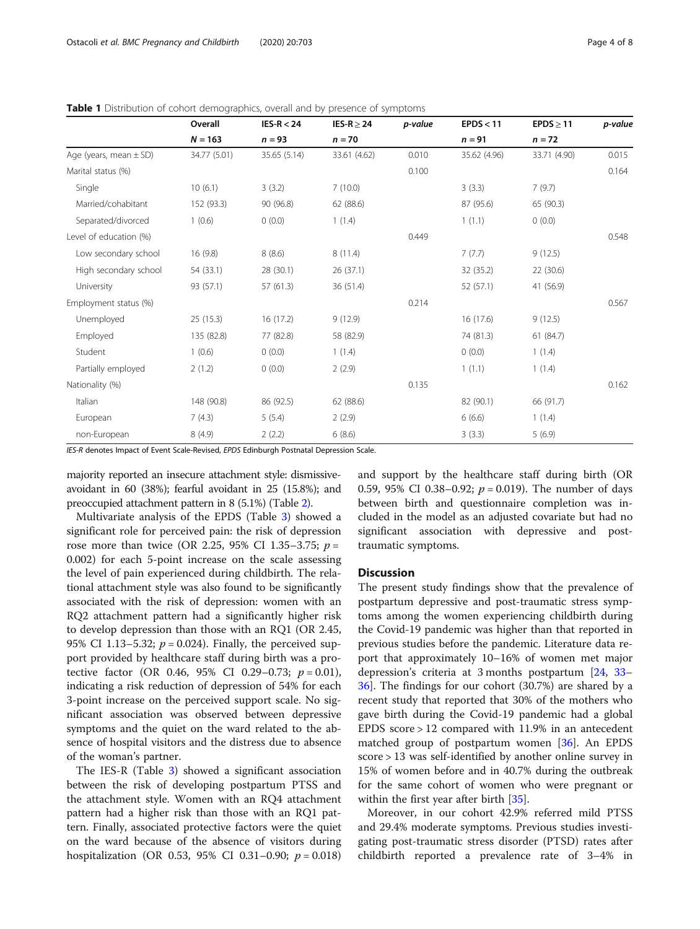|                            | Overall      | $IES-R < 24$ | IES-R $\geq$ 24 | p-value | EPDS < 11    | $EPDS \geq 11$ | p-value |
|----------------------------|--------------|--------------|-----------------|---------|--------------|----------------|---------|
|                            | $N = 163$    | $n = 93$     | $n = 70$        |         | $n = 91$     | $n = 72$       |         |
| Age (years, mean $\pm$ SD) | 34.77 (5.01) | 35.65 (5.14) | 33.61 (4.62)    | 0.010   | 35.62 (4.96) | 33.71 (4.90)   | 0.015   |
| Marital status (%)         |              |              |                 | 0.100   |              |                | 0.164   |
| Single                     | 10(6.1)      | 3(3.2)       | 7(10.0)         |         | 3(3.3)       | 7(9.7)         |         |
| Married/cohabitant         | 152 (93.3)   | 90 (96.8)    | 62 (88.6)       |         | 87 (95.6)    | 65 (90.3)      |         |
| Separated/divorced         | 1(0.6)       | 0(0.0)       | 1(1.4)          |         | 1(1.1)       | 0(0.0)         |         |
| Level of education (%)     |              |              |                 | 0.449   |              |                | 0.548   |
| Low secondary school       | 16(9.8)      | 8(8.6)       | 8(11.4)         |         | 7(7.7)       | 9(12.5)        |         |
| High secondary school      | 54 (33.1)    | 28 (30.1)    | 26(37.1)        |         | 32 (35.2)    | 22 (30.6)      |         |
| University                 | 93 (57.1)    | 57(61.3)     | 36 (51.4)       |         | 52 (57.1)    | 41 (56.9)      |         |
| Employment status (%)      |              |              |                 | 0.214   |              |                | 0.567   |
| Unemployed                 | 25(15.3)     | 16 (17.2)    | 9(12.9)         |         | 16 (17.6)    | 9(12.5)        |         |
| Employed                   | 135 (82.8)   | 77 (82.8)    | 58 (82.9)       |         | 74 (81.3)    | 61(84.7)       |         |
| Student                    | 1(0.6)       | 0(0.0)       | 1(1.4)          |         | 0(0.0)       | 1(1.4)         |         |
| Partially employed         | 2(1.2)       | 0(0.0)       | 2(2.9)          |         | 1(1.1)       | 1(1.4)         |         |
| Nationality (%)            |              |              |                 | 0.135   |              |                | 0.162   |
| Italian                    | 148 (90.8)   | 86 (92.5)    | 62 (88.6)       |         | 82 (90.1)    | 66 (91.7)      |         |
| European                   | 7(4.3)       | 5(5.4)       | 2(2.9)          |         | 6(6.6)       | 1(1.4)         |         |
| non-European               | 8(4.9)       | 2(2.2)       | 6(8.6)          |         | 3(3.3)       | 5(6.9)         |         |

<span id="page-3-0"></span>Table 1 Distribution of cohort demographics, overall and by presence of symptoms

IES-R denotes Impact of Event Scale-Revised, EPDS Edinburgh Postnatal Depression Scale.

majority reported an insecure attachment style: dismissiveavoidant in 60 (38%); fearful avoidant in 25 (15.8%); and preoccupied attachment pattern in 8 (5.1%) (Table [2](#page-4-0)).

Multivariate analysis of the EPDS (Table [3](#page-4-0)) showed a significant role for perceived pain: the risk of depression rose more than twice (OR 2.25, 95% CI 1.35–3.75;  $p =$ 0.002) for each 5-point increase on the scale assessing the level of pain experienced during childbirth. The relational attachment style was also found to be significantly associated with the risk of depression: women with an RQ2 attachment pattern had a significantly higher risk to develop depression than those with an RQ1 (OR 2.45, 95% CI 1.13–5.32;  $p = 0.024$ ). Finally, the perceived support provided by healthcare staff during birth was a protective factor (OR 0.46, 95% CI 0.29–0.73;  $p = 0.01$ ), indicating a risk reduction of depression of 54% for each 3-point increase on the perceived support scale. No significant association was observed between depressive symptoms and the quiet on the ward related to the absence of hospital visitors and the distress due to absence of the woman's partner.

The IES-R (Table [3](#page-4-0)) showed a significant association between the risk of developing postpartum PTSS and the attachment style. Women with an RQ4 attachment pattern had a higher risk than those with an RQ1 pattern. Finally, associated protective factors were the quiet on the ward because of the absence of visitors during hospitalization (OR 0.53, 95% CI 0.31–0.90;  $p = 0.018$ )

and support by the healthcare staff during birth (OR 0.59, 95% CI 0.38–0.92;  $p = 0.019$ ). The number of days between birth and questionnaire completion was included in the model as an adjusted covariate but had no significant association with depressive and posttraumatic symptoms.

#### **Discussion**

The present study findings show that the prevalence of postpartum depressive and post-traumatic stress symptoms among the women experiencing childbirth during the Covid-19 pandemic was higher than that reported in previous studies before the pandemic. Literature data report that approximately 10–16% of women met major depression's criteria at 3 months postpartum [\[24](#page-7-0), [33](#page-7-0)– [36\]](#page-7-0). The findings for our cohort (30.7%) are shared by a recent study that reported that 30% of the mothers who gave birth during the Covid-19 pandemic had a global EPDS score > 12 compared with 11.9% in an antecedent matched group of postpartum women [[36\]](#page-7-0). An EPDS score > 13 was self-identified by another online survey in 15% of women before and in 40.7% during the outbreak for the same cohort of women who were pregnant or within the first year after birth [[35](#page-7-0)].

Moreover, in our cohort 42.9% referred mild PTSS and 29.4% moderate symptoms. Previous studies investigating post-traumatic stress disorder (PTSD) rates after childbirth reported a prevalence rate of 3–4% in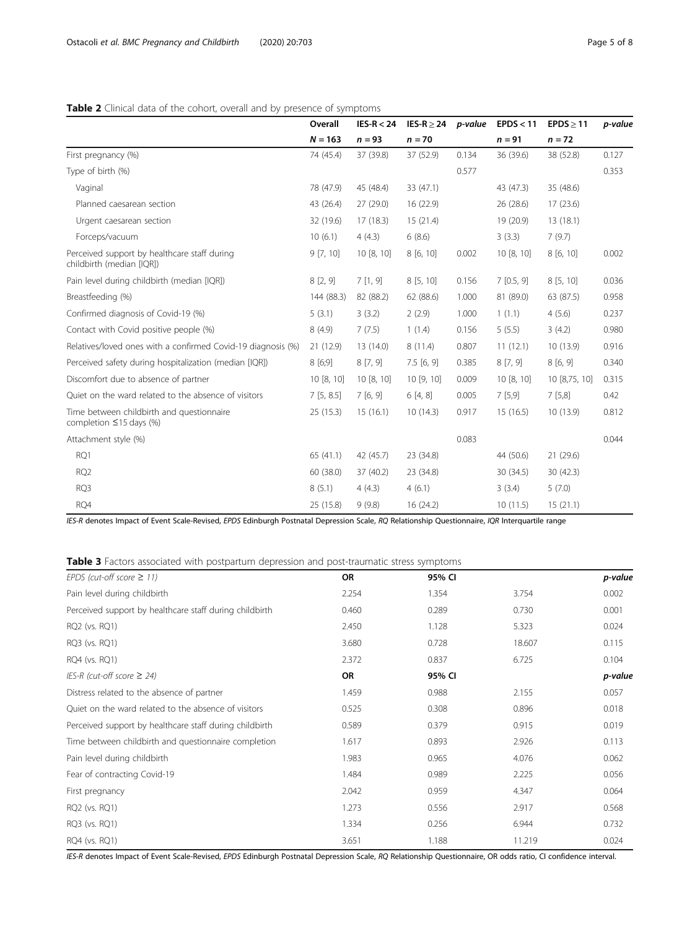# <span id="page-4-0"></span>Table 2 Clinical data of the cohort, overall and by presence of symptoms

|                                                                            | Overall    | $IES-R < 24$ | IES-R $\geq$ 24 | p-value | EPDS < 11 | $EPDS \geq 11$ | p-value |
|----------------------------------------------------------------------------|------------|--------------|-----------------|---------|-----------|----------------|---------|
|                                                                            | $N = 163$  | $n = 93$     | $n = 70$        |         | $n = 91$  | $n = 72$       |         |
| First pregnancy (%)                                                        | 74 (45.4)  | 37 (39.8)    | 37 (52.9)       | 0.134   | 36 (39.6) | 38 (52.8)      | 0.127   |
| Type of birth (%)                                                          |            |              |                 | 0.577   |           |                | 0.353   |
| Vaginal                                                                    | 78 (47.9)  | 45 (48.4)    | 33 (47.1)       |         | 43 (47.3) | 35 (48.6)      |         |
| Planned caesarean section                                                  | 43 (26.4)  | 27(29.0)     | 16 (22.9)       |         | 26 (28.6) | 17(23.6)       |         |
| Urgent caesarean section                                                   | 32 (19.6)  | 17(18.3)     | 15(21.4)        |         | 19 (20.9) | 13(18.1)       |         |
| Forceps/vacuum                                                             | 10(6.1)    | 4(4.3)       | 6(8.6)          |         | 3(3.3)    | 7(9.7)         |         |
| Perceived support by healthcare staff during<br>childbirth (median [IOR])  | 9[7, 10]   | 10 [8, 10]   | 8 [6, 10]       | 0.002   | 10[8, 10] | 8 [6, 10]      | 0.002   |
| Pain level during childbirth (median [IQR])                                | 8[2, 9]    | 7[1, 9]      | 8[5, 10]        | 0.156   | 7[0.5, 9] | 8[5, 10]       | 0.036   |
| Breastfeeding (%)                                                          | 144 (88.3) | 82 (88.2)    | 62 (88.6)       | 1.000   | 81 (89.0) | 63 (87.5)      | 0.958   |
| Confirmed diagnosis of Covid-19 (%)                                        | 5(3.1)     | 3(3.2)       | 2(2.9)          | 1.000   | 1(1.1)    | 4(5.6)         | 0.237   |
| Contact with Covid positive people (%)                                     | 8(4.9)     | 7(7.5)       | 1(1.4)          | 0.156   | 5(5.5)    | 3(4.2)         | 0.980   |
| Relatives/loved ones with a confirmed Covid-19 diagnosis (%)               | 21(12.9)   | 13(14.0)     | 8(11.4)         | 0.807   | 11(12.1)  | 10(13.9)       | 0.916   |
| Perceived safety during hospitalization (median [IQR])                     | 8[6;9]     | 8[7, 9]      | 7.5[6, 9]       | 0.385   | 8[7, 9]   | 8[6, 9]        | 0.340   |
| Discomfort due to absence of partner                                       | 10[8, 10]  | 10 [8, 10]   | 10[9, 10]       | 0.009   | 10[8, 10] | 10 [8,75, 10]  | 0.315   |
| Quiet on the ward related to the absence of visitors                       | 7[5, 8.5]  | 7[6, 9]      | 6[4, 8]         | 0.005   | 7[5,9]    | 7[5,8]         | 0.42    |
| Time between childbirth and questionnaire<br>completion $\leq$ 15 days (%) | 25(15.3)   | 15(16.1)     | 10(14.3)        | 0.917   | 15(16.5)  | 10(13.9)       | 0.812   |
| Attachment style (%)                                                       |            |              |                 | 0.083   |           |                | 0.044   |
| RQ1                                                                        | 65(41.1)   | 42 (45.7)    | 23 (34.8)       |         | 44 (50.6) | 21 (29.6)      |         |
| RQ <sub>2</sub>                                                            | 60 (38.0)  | 37 (40.2)    | 23 (34.8)       |         | 30 (34.5) | 30 (42.3)      |         |
| RQ3                                                                        | 8(5.1)     | 4(4.3)       | 4(6.1)          |         | 3(3.4)    | 5(7.0)         |         |
| RQ4                                                                        | 25 (15.8)  | 9(9.8)       | 16(24.2)        |         | 10(11.5)  | 15(21.1)       |         |

IES-R denotes Impact of Event Scale-Revised, EPDS Edinburgh Postnatal Depression Scale, RQ Relationship Questionnaire, IQR Interquartile range

Table 3 Factors associated with postpartum depression and post-traumatic stress symptoms

| EPDS (cut-off score $\geq$ 11)                          | <b>OR</b> | 95% CI |        | p-value |
|---------------------------------------------------------|-----------|--------|--------|---------|
| Pain level during childbirth                            | 2.254     | 1.354  | 3.754  | 0.002   |
| Perceived support by healthcare staff during childbirth | 0.460     | 0.289  | 0.730  | 0.001   |
| RQ2 (vs. RQ1)                                           | 2.450     | 1.128  | 5.323  | 0.024   |
| RQ3 (vs. RQ1)                                           | 3.680     | 0.728  | 18.607 | 0.115   |
| RQ4 (vs. RQ1)                                           | 2.372     | 0.837  | 6.725  | 0.104   |
| IES-R (cut-off score $\geq$ 24)                         | OR        | 95% CI |        | p-value |
| Distress related to the absence of partner              | 1.459     | 0.988  | 2.155  | 0.057   |
| Quiet on the ward related to the absence of visitors    | 0.525     | 0.308  | 0.896  | 0.018   |
| Perceived support by healthcare staff during childbirth | 0.589     | 0.379  | 0.915  | 0.019   |
| Time between childbirth and questionnaire completion    | 1.617     | 0.893  | 2.926  | 0.113   |
| Pain level during childbirth                            | 1.983     | 0.965  | 4.076  | 0.062   |
| Fear of contracting Covid-19                            | 1.484     | 0.989  | 2.225  | 0.056   |
| First pregnancy                                         | 2.042     | 0.959  | 4.347  | 0.064   |
| RQ2 (vs. RQ1)                                           | 1.273     | 0.556  | 2.917  | 0.568   |
| RQ3 (vs. RQ1)                                           | 1.334     | 0.256  | 6.944  | 0.732   |
| RQ4 (vs. RQ1)                                           | 3.651     | 1.188  | 11.219 | 0.024   |
|                                                         |           |        |        |         |

IES-R denotes Impact of Event Scale-Revised, EPDS Edinburgh Postnatal Depression Scale, RQ Relationship Questionnaire, OR odds ratio, CI confidence interval.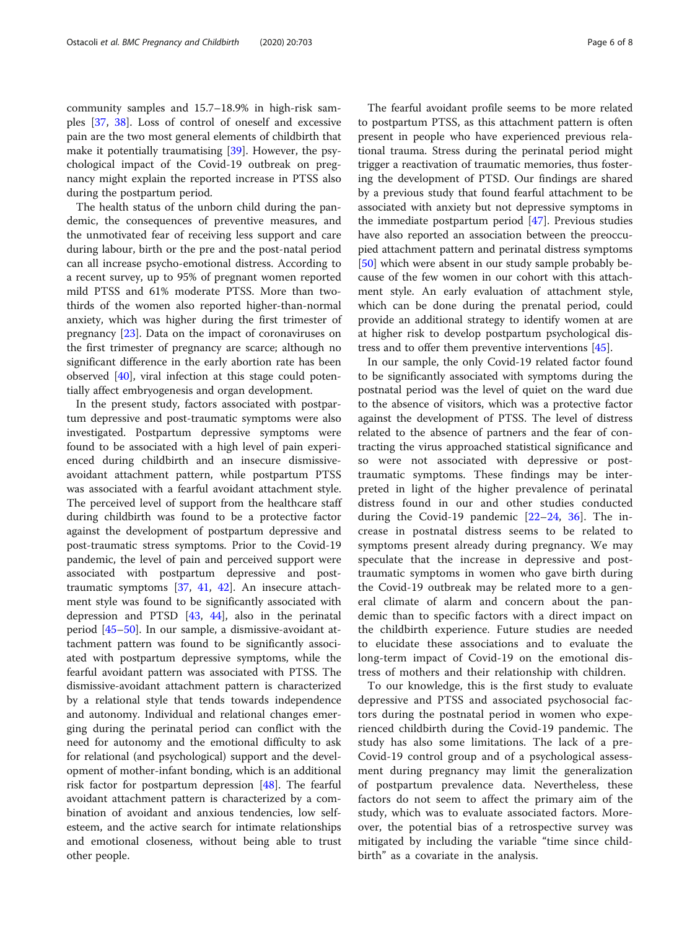community samples and 15.7–18.9% in high-risk samples [[37](#page-7-0), [38](#page-7-0)]. Loss of control of oneself and excessive pain are the two most general elements of childbirth that make it potentially traumatising [\[39\]](#page-7-0). However, the psychological impact of the Covid-19 outbreak on pregnancy might explain the reported increase in PTSS also during the postpartum period.

The health status of the unborn child during the pandemic, the consequences of preventive measures, and the unmotivated fear of receiving less support and care during labour, birth or the pre and the post-natal period can all increase psycho-emotional distress. According to a recent survey, up to 95% of pregnant women reported mild PTSS and 61% moderate PTSS. More than twothirds of the women also reported higher-than-normal anxiety, which was higher during the first trimester of pregnancy [\[23](#page-7-0)]. Data on the impact of coronaviruses on the first trimester of pregnancy are scarce; although no significant difference in the early abortion rate has been observed [\[40](#page-7-0)], viral infection at this stage could potentially affect embryogenesis and organ development.

In the present study, factors associated with postpartum depressive and post-traumatic symptoms were also investigated. Postpartum depressive symptoms were found to be associated with a high level of pain experienced during childbirth and an insecure dismissiveavoidant attachment pattern, while postpartum PTSS was associated with a fearful avoidant attachment style. The perceived level of support from the healthcare staff during childbirth was found to be a protective factor against the development of postpartum depressive and post-traumatic stress symptoms. Prior to the Covid-19 pandemic, the level of pain and perceived support were associated with postpartum depressive and posttraumatic symptoms [\[37](#page-7-0), [41](#page-7-0), [42](#page-7-0)]. An insecure attachment style was found to be significantly associated with depression and PTSD [[43,](#page-7-0) [44\]](#page-7-0), also in the perinatal period [[45](#page-7-0)–[50](#page-7-0)]. In our sample, a dismissive-avoidant attachment pattern was found to be significantly associated with postpartum depressive symptoms, while the fearful avoidant pattern was associated with PTSS. The dismissive-avoidant attachment pattern is characterized by a relational style that tends towards independence and autonomy. Individual and relational changes emerging during the perinatal period can conflict with the need for autonomy and the emotional difficulty to ask for relational (and psychological) support and the development of mother-infant bonding, which is an additional risk factor for postpartum depression [[48\]](#page-7-0). The fearful avoidant attachment pattern is characterized by a combination of avoidant and anxious tendencies, low selfesteem, and the active search for intimate relationships and emotional closeness, without being able to trust other people.

The fearful avoidant profile seems to be more related to postpartum PTSS, as this attachment pattern is often present in people who have experienced previous relational trauma. Stress during the perinatal period might trigger a reactivation of traumatic memories, thus fostering the development of PTSD. Our findings are shared by a previous study that found fearful attachment to be associated with anxiety but not depressive symptoms in the immediate postpartum period [[47](#page-7-0)]. Previous studies have also reported an association between the preoccupied attachment pattern and perinatal distress symptoms [[50\]](#page-7-0) which were absent in our study sample probably because of the few women in our cohort with this attachment style. An early evaluation of attachment style, which can be done during the prenatal period, could provide an additional strategy to identify women at are at higher risk to develop postpartum psychological distress and to offer them preventive interventions [\[45](#page-7-0)].

In our sample, the only Covid-19 related factor found to be significantly associated with symptoms during the postnatal period was the level of quiet on the ward due to the absence of visitors, which was a protective factor against the development of PTSS. The level of distress related to the absence of partners and the fear of contracting the virus approached statistical significance and so were not associated with depressive or posttraumatic symptoms. These findings may be interpreted in light of the higher prevalence of perinatal distress found in our and other studies conducted during the Covid-19 pandemic  $[22-24, 36]$  $[22-24, 36]$  $[22-24, 36]$  $[22-24, 36]$  $[22-24, 36]$  $[22-24, 36]$ . The increase in postnatal distress seems to be related to symptoms present already during pregnancy. We may speculate that the increase in depressive and posttraumatic symptoms in women who gave birth during the Covid-19 outbreak may be related more to a general climate of alarm and concern about the pandemic than to specific factors with a direct impact on the childbirth experience. Future studies are needed to elucidate these associations and to evaluate the long-term impact of Covid-19 on the emotional distress of mothers and their relationship with children.

To our knowledge, this is the first study to evaluate depressive and PTSS and associated psychosocial factors during the postnatal period in women who experienced childbirth during the Covid-19 pandemic. The study has also some limitations. The lack of a pre-Covid-19 control group and of a psychological assessment during pregnancy may limit the generalization of postpartum prevalence data. Nevertheless, these factors do not seem to affect the primary aim of the study, which was to evaluate associated factors. Moreover, the potential bias of a retrospective survey was mitigated by including the variable "time since childbirth" as a covariate in the analysis.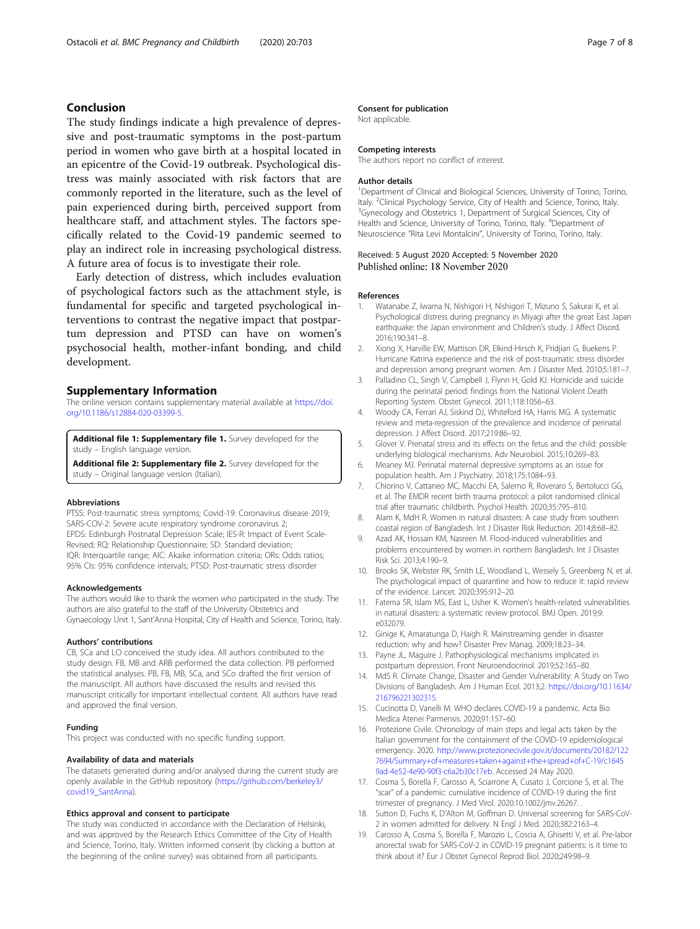# <span id="page-6-0"></span>Conclusion

The study findings indicate a high prevalence of depressive and post-traumatic symptoms in the post-partum period in women who gave birth at a hospital located in an epicentre of the Covid-19 outbreak. Psychological distress was mainly associated with risk factors that are commonly reported in the literature, such as the level of pain experienced during birth, perceived support from healthcare staff, and attachment styles. The factors specifically related to the Covid-19 pandemic seemed to play an indirect role in increasing psychological distress. A future area of focus is to investigate their role.

Early detection of distress, which includes evaluation of psychological factors such as the attachment style, is fundamental for specific and targeted psychological interventions to contrast the negative impact that postpartum depression and PTSD can have on women's psychosocial health, mother-infant bonding, and child development.

# Supplementary Information

The online version contains supplementary material available at [https://doi.](https://doi.org/10.1186/s12884-020-03399-5) [org/10.1186/s12884-020-03399-5.](https://doi.org/10.1186/s12884-020-03399-5)

Additional file 1: Supplementary file 1. Survey developed for the study – English language version.

Additional file 2: Supplementary file 2. Survey developed for the study – Original language version (Italian).

#### Abbreviations

PTSS: Post-traumatic stress symptoms; Covid-19: Coronavirus disease 2019; SARS-COV-2: Severe acute respiratory syndrome coronavirus 2; EPDS: Edinburgh Postnatal Depression Scale; IES-R: Impact of Event Scale-Revised; RQ: Relationship Questionnaire; SD: Standard deviation; IQR: Interquartile range; AIC: Akaike information criteria; ORs: Odds ratios; 95% CIs: 95% confidence intervals; PTSD: Post-traumatic stress disorder

#### Acknowledgements

The authors would like to thank the women who participated in the study. The authors are also grateful to the staff of the University Obstetrics and Gynaecology Unit 1, Sant'Anna Hospital, City of Health and Science, Torino, Italy.

#### Authors' contributions

CB, SCa and LO conceived the study idea. All authors contributed to the study design. FB, MB and ARB performed the data collection. PB performed the statistical analyses. PB, FB, MB, SCa, and SCo drafted the first version of the manuscript. All authors have discussed the results and revised this manuscript critically for important intellectual content. All authors have read and approved the final version.

#### Funding

This project was conducted with no specific funding support.

#### Availability of data and materials

The datasets generated during and/or analysed during the current study are openly available in the GitHub repository ([https://github.com/berkeley3/](https://github.com/berkeley3/covid19_SantAnna) [covid19\\_SantAnna\)](https://github.com/berkeley3/covid19_SantAnna).

#### Ethics approval and consent to participate

The study was conducted in accordance with the Declaration of Helsinki, and was approved by the Research Ethics Committee of the City of Health and Science, Torino, Italy. Written informed consent (by clicking a button at the beginning of the online survey) was obtained from all participants.

#### Consent for publication

Not applicable.

#### Competing interests

The authors report no conflict of interest.

#### Author details

<sup>1</sup>Department of Clinical and Biological Sciences, University of Torino, Torino, Italy. <sup>2</sup>Clinical Psychology Service, City of Health and Science, Torino, Italy.<br><sup>3</sup>Gynecology and Obstatrics 1, Department of Surgical Sciences, City of <sup>3</sup>Gynecology and Obstetrics 1, Department of Surgical Sciences, City of Health and Science, University of Torino, Torino, Italy. <sup>4</sup>Department of Neuroscience "Rita Levi Montalcini", University of Torino, Torino, Italy.

#### Received: 5 August 2020 Accepted: 5 November 2020 Published online: 18 November 2020

#### References

- 1. Watanabe Z, Iwama N, Nishigori H, Nishigori T, Mizuno S, Sakurai K, et al. Psychological distress during pregnancy in Miyagi after the great East Japan earthquake: the Japan environment and Children's study. J Affect Disord. 2016;190:341–8.
- 2. Xiong X, Harville EW, Mattison DR, Elkind-Hirsch K, Pridjian G, Buekens P. Hurricane Katrina experience and the risk of post-traumatic stress disorder and depression among pregnant women. Am J Disaster Med. 2010;5:181–7.
- 3. Palladino CL, Singh V, Campbell J, Flynn H, Gold KJ. Homicide and suicide during the perinatal period: findings from the National Violent Death Reporting System. Obstet Gynecol. 2011;118:1056–63.
- 4. Woody CA, Ferrari AJ, Siskind DJ, Whiteford HA, Harris MG. A systematic review and meta-regression of the prevalence and incidence of perinatal depression. J Affect Disord. 2017;219:86–92.
- 5. Glover V. Prenatal stress and its effects on the fetus and the child: possible underlying biological mechanisms. Adv Neurobiol. 2015;10:269–83.
- 6. Meaney MJ. Perinatal maternal depressive symptoms as an issue for population health. Am J Psychiatry. 2018;175:1084–93.
- 7. Chiorino V, Cattaneo MC, Macchi EA, Salerno R, Roveraro S, Bertolucci GG, et al. The EMDR recent birth trauma protocol: a pilot randomised clinical trial after traumatic childbirth. Psychol Health. 2020;35:795–810.
- 8. Alam K, MdH R. Women in natural disasters: A case study from southern coastal region of Bangladesh. Int J Disaster Risk Reduction. 2014;8:68–82.
- 9. Azad AK, Hossain KM, Nasreen M. Flood-induced vulnerabilities and problems encountered by women in northern Bangladesh. Int J Disaster Risk Sci. 2013;4:190–9.
- 10. Brooks SK, Webster RK, Smith LE, Woodland L, Wessely S, Greenberg N, et al. The psychological impact of quarantine and how to reduce it: rapid review of the evidence. Lancet. 2020;395:912–20.
- 11. Fatema SR, Islam MS, East L, Usher K. Women's health-related vulnerabilities in natural disasters: a systematic review protocol. BMJ Open. 2019;9: e032079.
- 12. Ginige K, Amaratunga D, Haigh R. Mainstreaming gender in disaster reduction: why and how? Disaster Prev Manag. 2009;18:23–34.
- 13. Payne JL, Maguire J. Pathophysiological mechanisms implicated in postpartum depression. Front Neuroendocrinol. 2019;52:165–80.
- 14. MdS R. Climate Change, Disaster and Gender Vulnerability: A Study on Two Divisions of Bangladesh. Am J Human Ecol. 2013;2. [https://doi.org/10.11634/](https://doi.org/10.11634/216796221302315) [216796221302315.](https://doi.org/10.11634/216796221302315)
- 15. Cucinotta D, Vanelli M. WHO declares COVID-19 a pandemic. Acta Bio Medica Atenei Parmensis. 2020;91:157–60.
- 16. Protezione Civile. Chronology of main steps and legal acts taken by the Italian government for the containment of the COVID-19 epidemiological emergency. 2020. [http://www.protezionecivile.gov.it/documents/20182/122](http://www.protezionecivile.gov.it/documents/20182/1227694/Summary+of+measures+taken+against+the+spread+of+C-19/c16459ad-4e52-4e90-90f3-c6a2b30c17eb) [7694/Summary+of+measures+taken+against+the+spread+of+C-19/c1645](http://www.protezionecivile.gov.it/documents/20182/1227694/Summary+of+measures+taken+against+the+spread+of+C-19/c16459ad-4e52-4e90-90f3-c6a2b30c17eb) [9ad-4e52-4e90-90f3-c6a2b30c17eb.](http://www.protezionecivile.gov.it/documents/20182/1227694/Summary+of+measures+taken+against+the+spread+of+C-19/c16459ad-4e52-4e90-90f3-c6a2b30c17eb) Accessed 24 May 2020.
- 17. Cosma S, Borella F, Carosso A, Sciarrone A, Cusato J, Corcione S, et al. The "scar" of a pandemic: cumulative incidence of COVID-19 during the first trimester of pregnancy. J Med Virol. 2020:10.1002/jmv.26267. .
- 18. Sutton D, Fuchs K, D'Alton M, Goffman D. Universal screening for SARS-CoV-2 in women admitted for delivery. N Engl J Med. 2020;382:2163–4.
- 19. Carosso A, Cosma S, Borella F, Marozio L, Coscia A, Ghisetti V, et al. Pre-labor anorectal swab for SARS-CoV-2 in COVID-19 pregnant patients: is it time to think about it? Eur J Obstet Gynecol Reprod Biol. 2020;249:98–9.